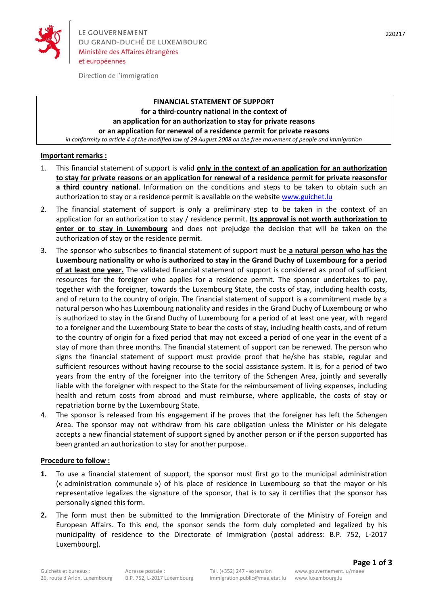

Direction de l'immigration

# **FINANCIAL STATEMENT OF SUPPORT for a third-country national in the context of an application for an authorization to stay for private reasons or an application for renewal of a residence permit for private reasons**

*in conformity to article 4 of the modified law of 29 August 2008 on the free movement of people and immigration*

## **Important remarks :**

- 1. This financial statement of support is valid **only in the context of an application for an authorization to stay for private reasons or an application for renewal of a residence permit for private reasonsfor a third country national**. Information on the conditions and steps to be taken to obtain such an authorization to stay or a residence permit is available on the website [www.guichet.lu](http://www.guichet.lu/)
- 2. The financial statement of support is only a preliminary step to be taken in the context of an application for an authorization to stay / residence permit. **Its approval is not worth authorization to enter or to stay in Luxembourg** and does not prejudge the decision that will be taken on the authorization of stay or the residence permit.
- 3. The sponsor who subscribes to financial statement of support must be **a natural person who has the Luxembourg nationality or who is authorized to stay in the Grand Duchy of Luxembourg for a period of at least one year.** The validated financial statement of support is considered as proof of sufficient resources for the foreigner who applies for a residence permit. The sponsor undertakes to pay, together with the foreigner, towards the Luxembourg State, the costs of stay, including health costs, and of return to the country of origin. The financial statement of support is a commitment made by a natural person who has Luxembourg nationality and resides in the Grand Duchy of Luxembourg or who is authorized to stay in the Grand Duchy of Luxembourg for a period of at least one year, with regard to a foreigner and the Luxembourg State to bear the costs of stay, including health costs, and of return to the country of origin for a fixed period that may not exceed a period of one year in the event of a stay of more than three months. The financial statement of support can be renewed. The person who signs the financial statement of support must provide proof that he/she has stable, regular and sufficient resources without having recourse to the social assistance system. It is, for a period of two years from the entry of the foreigner into the territory of the Schengen Area, jointly and severally liable with the foreigner with respect to the State for the reimbursement of living expenses, including health and return costs from abroad and must reimburse, where applicable, the costs of stay or repatriation borne by the Luxembourg State.
- 4. The sponsor is released from his engagement if he proves that the foreigner has left the Schengen Area. The sponsor may not withdraw from his care obligation unless the Minister or his delegate accepts a new financial statement of support signed by another person or if the person supported has been granted an authorization to stay for another purpose.

#### **Procedure to follow :**

- **1.** To use a financial statement of support, the sponsor must first go to the municipal administration (« administration communale ») of his place of residence in Luxembourg so that the mayor or his representative legalizes the signature of the sponsor, that is to say it certifies that the sponsor has personally signed this form.
- **2.** The form must then be submitted to the Immigration Directorate of the Ministry of Foreign and European Affairs. To this end, the sponsor sends the form duly completed and legalized by his municipality of residence to the Directorate of Immigration (postal address: B.P. 752, L-2017 Luxembourg).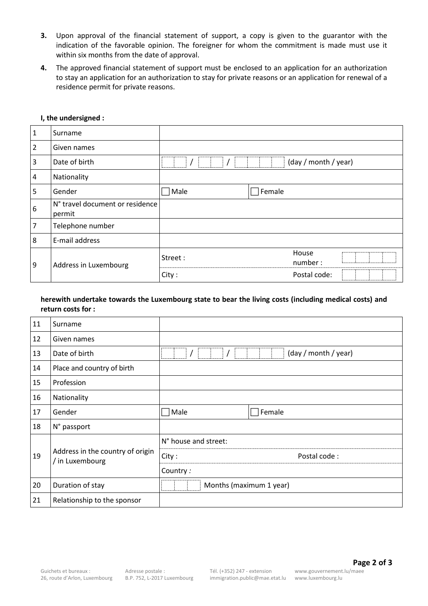- **3.** Upon approval of the financial statement of support, a copy is given to the guarantor with the indication of the favorable opinion. The foreigner for whom the commitment is made must use it within six months from the date of approval.
- **4.** The approved financial statement of support must be enclosed to an application for an authorization to stay an application for an authorization to stay for private reasons or an application for renewal of a residence permit for private reasons.

| $\mathbf{1}$     | Surname                                   |         |                      |
|------------------|-------------------------------------------|---------|----------------------|
| $\overline{2}$   | Given names                               |         |                      |
| $\overline{3}$   | Date of birth                             |         | (day / month / year) |
| 4                | Nationality                               |         |                      |
| 5                | Gender                                    | Male    | Female               |
| $\boldsymbol{6}$ | N° travel document or residence<br>permit |         |                      |
| $\overline{7}$   | Telephone number                          |         |                      |
| 8                | E-mail address                            |         |                      |
| 9                | Address in Luxembourg                     | Street: | House<br>number:     |
|                  |                                           | City:   | Postal code:         |

#### **I, the undersigned :**

## **herewith undertake towards the Luxembourg state to bear the living costs (including medical costs) and return costs for :**

| 11 | Surname                                             |                         |  |
|----|-----------------------------------------------------|-------------------------|--|
| 12 | Given names                                         |                         |  |
| 13 | Date of birth                                       | (day / month / year)    |  |
| 14 | Place and country of birth                          |                         |  |
| 15 | Profession                                          |                         |  |
| 16 | Nationality                                         |                         |  |
| 17 | Gender                                              | Male<br>Female          |  |
| 18 | N° passport                                         |                         |  |
| 19 | Address in the country of origin<br>/ in Luxembourg | N° house and street:    |  |
|    |                                                     | Postal code:<br>City:   |  |
|    |                                                     | Country:                |  |
| 20 | Duration of stay                                    | Months (maximum 1 year) |  |
| 21 | Relationship to the sponsor                         |                         |  |